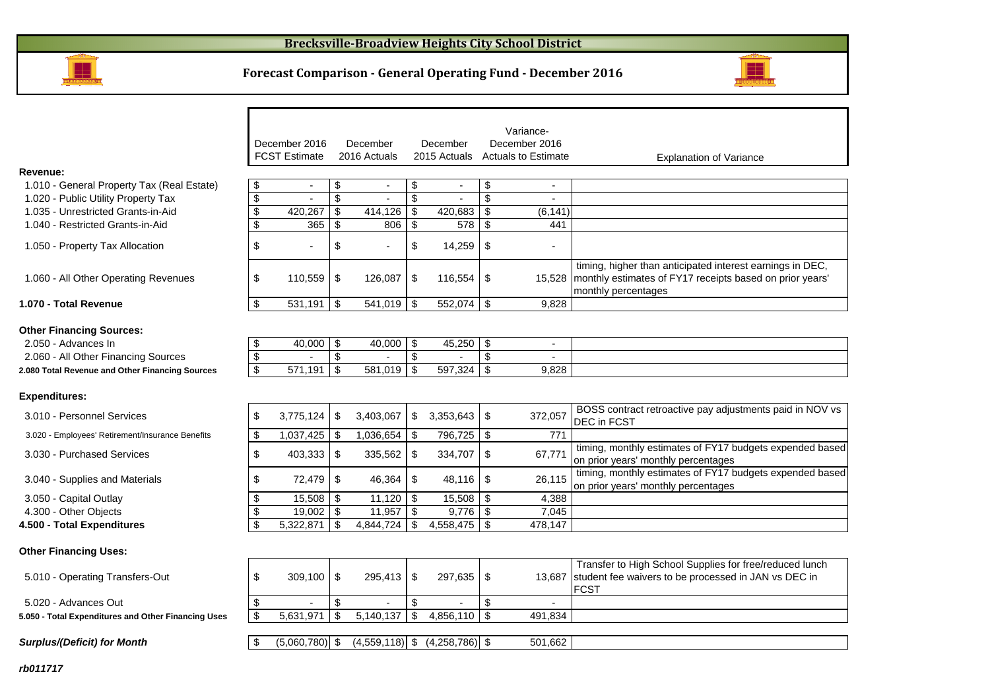

## **Forecast Comparison - General Operating Fund - December 2016**



|                                                     |                                |               |                |                         |                |                           | Variance-                  |                                                                                                                              |
|-----------------------------------------------------|--------------------------------|---------------|----------------|-------------------------|----------------|---------------------------|----------------------------|------------------------------------------------------------------------------------------------------------------------------|
|                                                     | December 2016                  |               | December       |                         | December       |                           | December 2016              |                                                                                                                              |
|                                                     | <b>FCST Estimate</b>           |               | 2016 Actuals   |                         | 2015 Actuals   |                           | <b>Actuals to Estimate</b> | <b>Explanation of Variance</b>                                                                                               |
| Revenue:                                            |                                |               |                |                         |                |                           |                            |                                                                                                                              |
| 1.010 - General Property Tax (Real Estate)          | \$<br>$\overline{\phantom{a}}$ | \$            | $\blacksquare$ | \$                      | $\blacksquare$ | \$                        | $\blacksquare$             |                                                                                                                              |
| 1.020 - Public Utility Property Tax                 | \$                             | \$            |                | \$                      |                | \$                        | $\blacksquare$             |                                                                                                                              |
| 1.035 - Unrestricted Grants-in-Aid                  | \$<br>420,267<br>365           | \$            | 414,126        | \$                      | 420,683        | \$                        | (6, 141)                   |                                                                                                                              |
| 1.040 - Restricted Grants-in-Aid                    | \$                             | \$            | 806            | $\sqrt[6]{\frac{1}{2}}$ | 578            | \$                        | 441                        |                                                                                                                              |
| 1.050 - Property Tax Allocation                     | \$                             | \$            |                | \$                      | 14,259         | \$                        |                            |                                                                                                                              |
| 1.060 - All Other Operating Revenues                | \$<br>110,559                  | \$            | 126,087        | \$                      | 116,554        | \$                        |                            | timing, higher than anticipated interest earnings in DEC,<br>15,528 monthly estimates of FY17 receipts based on prior years' |
|                                                     |                                |               |                |                         |                |                           |                            | monthly percentages                                                                                                          |
| 1.070 - Total Revenue                               | \$<br>531,191                  | \$            | 541,019        | \$                      | 552,074        | \$                        | 9,828                      |                                                                                                                              |
|                                                     |                                |               |                |                         |                |                           |                            |                                                                                                                              |
| <b>Other Financing Sources:</b>                     |                                |               |                |                         |                |                           |                            |                                                                                                                              |
| 2.050 - Advances In                                 | \$<br>40,000                   | \$            | 40,000         | \$                      | 45,250         | -\$                       | $\overline{\phantom{a}}$   |                                                                                                                              |
| 2.060 - All Other Financing Sources                 | \$                             | \$            |                | $\sqrt[6]{2}$           |                | $\boldsymbol{\mathsf{S}}$ |                            |                                                                                                                              |
| 2.080 Total Revenue and Other Financing Sources     | \$<br>571,191                  | \$            | 581,019        | \$                      | 597,324        | \$                        | 9,828                      |                                                                                                                              |
| <b>Expenditures:</b>                                |                                |               |                |                         |                |                           |                            |                                                                                                                              |
| 3.010 - Personnel Services                          | \$<br>3,775,124                | \$            | 3,403,067      | \$                      | 3,353,643      | \$                        | 372,057                    | BOSS contract retroactive pay adjustments paid in NOV vs<br><b>DEC</b> in FCST                                               |
| 3.020 - Employees' Retirement/Insurance Benefits    | \$<br>1,037,425                | \$            | 1,036,654      | \$                      | 796,725        | -\$                       | 771                        |                                                                                                                              |
| 3.030 - Purchased Services                          | \$<br>403,333                  | \$            | 335,562        | \$                      | 334,707        | \$                        | 67,771                     | timing, monthly estimates of FY17 budgets expended based<br>on prior years' monthly percentages                              |
| 3.040 - Supplies and Materials                      | \$<br>72,479                   | \$            | 46,364         | $\sqrt[6]{2}$           | 48,116         | \$                        | 26,115                     | timing, monthly estimates of FY17 budgets expended based<br>on prior years' monthly percentages                              |
| 3.050 - Capital Outlay                              | \$<br>15,508                   | \$            | 11,120         | $\sqrt[6]{\frac{1}{2}}$ | 15,508         | \$                        | 4,388                      |                                                                                                                              |
| 4.300 - Other Objects                               | \$<br>19,002                   | $\sqrt[6]{3}$ | 11,957         | $\sqrt[6]{\frac{1}{2}}$ | 9,776          | \$                        | 7,045                      |                                                                                                                              |
| 4.500 - Total Expenditures                          | \$<br>5,322,871                | \$            | 4,844,724      | \$                      | 4,558,475      | -\$                       | 478.147                    |                                                                                                                              |
| <b>Other Financing Uses:</b>                        |                                |               |                |                         |                |                           |                            |                                                                                                                              |
|                                                     |                                |               |                |                         |                |                           |                            | Transfer to High School Supplies for free/reduced lunch                                                                      |
| 5.010 - Operating Transfers-Out                     | \$<br>309,100                  | \$            | 295,413        | \$                      | 297,635        | -\$                       |                            | 13,687 student fee waivers to be processed in JAN vs DEC in<br><b>FCST</b>                                                   |
| 5.020 - Advances Out                                | \$                             | \$            |                | \$                      |                | \$                        | $\sim$                     |                                                                                                                              |
| 5.050 - Total Expenditures and Other Financing Uses | \$<br>5,631,971                | \$            | 5,140,137      | $\sqrt[6]{\frac{1}{2}}$ | 4,856,110      | \$                        | 491,834                    |                                                                                                                              |

 $\boxed{\$}$  (5,060,780) \\ (4,559,118) \ (4,258,786) \ \ \ 501,662

**Surplus/(Deficit) for Month**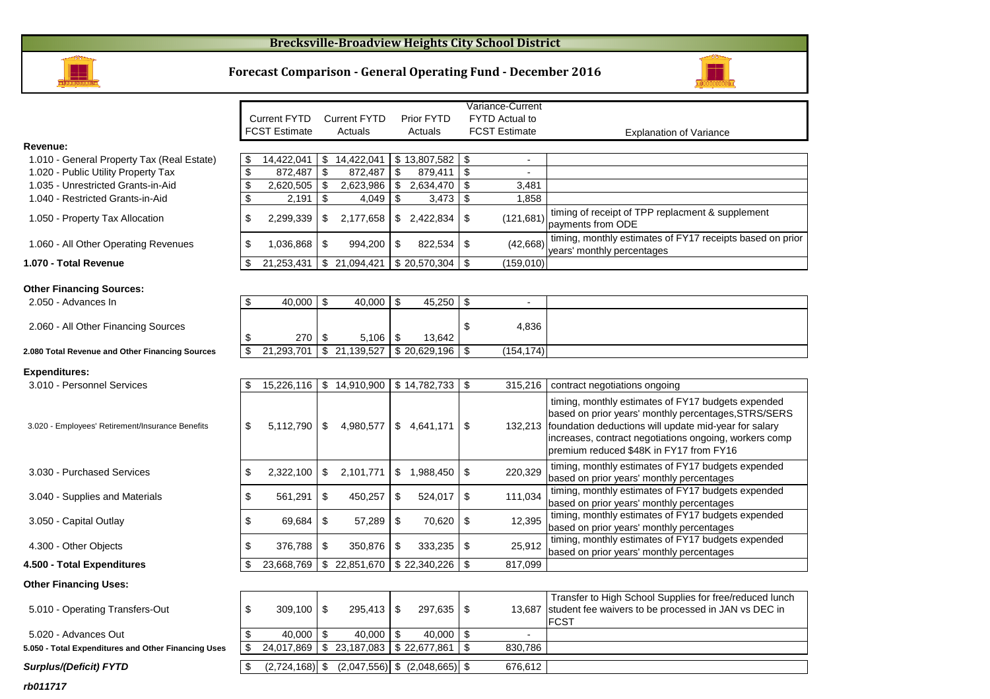### **Brecksville-Broadview Heights City School District**



#### **Forecast Comparison - General Operating Fund - December 2016**

 Prior FYTD Actuals

 Current FYTD Actuals



**Explanation of Variance** 

|                                                  |    | <b>FCST Estimate</b> |     | Actuals      |     | Actuals      | <b>FCST Estimate</b>           | Explanation                                                                                                                                                          |
|--------------------------------------------------|----|----------------------|-----|--------------|-----|--------------|--------------------------------|----------------------------------------------------------------------------------------------------------------------------------------------------------------------|
| Revenue:                                         |    |                      |     |              |     |              |                                |                                                                                                                                                                      |
| 1.010 - General Property Tax (Real Estate)       | \$ | 14,422,041           | \$  | 14,422,041   |     | \$13,807,582 | \$<br>$\overline{\phantom{0}}$ |                                                                                                                                                                      |
| 1.020 - Public Utility Property Tax              | \$ | 872,487              | \$  | 872,487      | \$  | 879,411      | \$                             |                                                                                                                                                                      |
| 1.035 - Unrestricted Grants-in-Aid               | \$ | 2,620,505            | -\$ | 2,623,986    |     | 2,634,470    | \$<br>3,481                    |                                                                                                                                                                      |
| 1.040 - Restricted Grants-in-Aid                 | \$ | 2,191                | \$  | 4,049        | \$  | 3,473        | \$<br>1,858                    |                                                                                                                                                                      |
| 1.050 - Property Tax Allocation                  | \$ | 2,299,339            | \$  | 2,177,658    | S.  | 2,422,834    | \$<br>(121, 681)               | timing of receipt of TPP replac<br>payments from ODE                                                                                                                 |
| 1.060 - All Other Operating Revenues             | \$ | 1,036,868            | \$  | 994,200      | \$  | 822,534      | \$<br>(42, 668)                | timing, monthly estimates of F<br>years' monthly percentages                                                                                                         |
| 1.070 - Total Revenue                            | \$ | 21,253,431           | \$  | 21,094,421   |     | \$20,570,304 | \$<br>(159,010)                |                                                                                                                                                                      |
| <b>Other Financing Sources:</b>                  |    |                      |     |              |     |              |                                |                                                                                                                                                                      |
| 2.050 - Advances In                              | \$ | 40,000               | \$  | 40,000       | \$  | 45,250       | \$                             |                                                                                                                                                                      |
| 2.060 - All Other Financing Sources              |    | 270                  | \$  | 5,106        | -\$ | 13,642       | \$<br>4.836                    |                                                                                                                                                                      |
| 2.080 Total Revenue and Other Financing Sources  | \$ | 21,293,701           | \$  | 21,139,527   |     | \$20,629,196 | \$<br>(154, 174)               |                                                                                                                                                                      |
| <b>Expenditures:</b>                             |    |                      |     |              |     |              |                                |                                                                                                                                                                      |
| 3.010 - Personnel Services                       | S  | 15,226,116           |     | \$14,910,900 |     | \$14,782,733 | \$<br>315,216                  | contract negotiations ongoing                                                                                                                                        |
| 3.020 - Employees' Retirement/Insurance Benefits | \$ | 5,112,790            | \$  | 4,980,577    |     | \$4,641,171  | \$<br>132,213                  | timing, monthly estimates of F<br>based on prior years' monthly<br>foundation deductions will upd<br>increases, contract negotiation<br>premium reduced \$48K in FY1 |
| 3.030 - Purchased Services                       | \$ | 2,322,100            | \$  | 2,101,771    | \$  | 1,988,450    | \$<br>220,329                  | timing, monthly estimates of F<br>based on prior years' monthly                                                                                                      |
| 3.040 - Supplies and Materials                   | \$ | 561,291              | \$  | 450,257      | S   | 524,017      | \$<br>111,034                  | timing, monthly estimates of F<br>based on prior years' monthly                                                                                                      |
|                                                  |    |                      |     |              |     |              |                                | timing monthly estimates of F                                                                                                                                        |

Current FYTD

3.050 - Capital Outlay

4.300 - Other Objects

**4.500 - Total Expenditures**

**Other Financing Uses:**

| 5.010 - Operating Transfers-Out |  |
|---------------------------------|--|
|---------------------------------|--|

| rb011717 |  |  |
|----------|--|--|
|          |  |  |

| erty Tax (Real Estate) | 14,422,041      | 14,422,041 | S. | 13,807,582   \$      |                          |                                                                                         |
|------------------------|-----------------|------------|----|----------------------|--------------------------|-----------------------------------------------------------------------------------------|
| Property Tax           | 872,487         | 872.487    |    | 879,411              | $\overline{\phantom{0}}$ |                                                                                         |
| Grants-in-Aid          | 2,620,505       | 2,623,986  |    |                      | 3,481                    |                                                                                         |
| ants-in-Aid            | 2,191           | 4.049      |    | 3,473                | 1,858                    |                                                                                         |
| Allocation             | \$<br>2.299.339 | 2,177,658  | S. |                      | (121, 681)               | timing of receipt of TPP replacment & supplement<br>payments from ODE                   |
| erating Revenues       | \$<br>.036.868  | 994.200    | \$ |                      | (42,668)                 | timing, monthly estimates of FY17 receipts based on prior<br>vears' monthly percentages |
| е                      | 21,253,431      | 21,094,421 |    | $$20,570,304$ \ \ \$ | (159, 010)               |                                                                                         |
|                        |                 |            |    |                      |                          |                                                                                         |

 Variance-Current FYTD Actual to **FCST Estimate** 

#### **Expen**

| ment/Insurance Benefits | \$<br>5.112.790 | -S | 4.980.577  | \$ | 4,641,171    | \$  | 132.213 | timing, monthly estimates of FY17 budgets expended<br>based on prior years' monthly percentages, STRS/SERS<br>foundation deductions will update mid-year for salary<br>increases, contract negotiations ongoing, workers comp<br>premium reduced \$48K in FY17 from FY16 |
|-------------------------|-----------------|----|------------|----|--------------|-----|---------|--------------------------------------------------------------------------------------------------------------------------------------------------------------------------------------------------------------------------------------------------------------------------|
| ervices                 | \$<br>2.322.100 | S  | 2.101.771  | S  | .988.450     | \$  | 220,329 | timing, monthly estimates of FY17 budgets expended<br>based on prior years' monthly percentages                                                                                                                                                                          |
| <b>Materials</b>        | \$<br>561.291   | S  | 450.257    | S  | 524.017      | -\$ | 111,034 | timing, monthly estimates of FY17 budgets expended<br>based on prior years' monthly percentages                                                                                                                                                                          |
|                         | \$<br>69.684    | S. | 57.289     |    | 70.620       | \$  | 12,395  | timing, monthly estimates of FY17 budgets expended<br>based on prior years' monthly percentages                                                                                                                                                                          |
|                         | \$<br>376.788   | \$ | 350.876    |    | 333.235      | \$  | 25,912  | timing, monthly estimates of FY17 budgets expended<br>based on prior years' monthly percentages                                                                                                                                                                          |
| itures                  | 23.668.769      | S  | 22.851.670 |    | \$22,340,226 | \$  | 817,099 |                                                                                                                                                                                                                                                                          |
|                         |                 |    |            |    |              |     |         |                                                                                                                                                                                                                                                                          |

| 5.010 - Operating Transfers-Out                     | $309.100$ S                                   |                                   | $297.635$ $\frac{1}{5}$ |         | Transfer to High School Supplies for free/reduced lunch<br>13,687 student fee waivers to be processed in JAN vs DEC in<br><b>IFCST</b> |
|-----------------------------------------------------|-----------------------------------------------|-----------------------------------|-------------------------|---------|----------------------------------------------------------------------------------------------------------------------------------------|
| 5.020 - Advances Out                                | $40.000$ S                                    | $40.000$ \ \$                     | $40.000$   \$           |         |                                                                                                                                        |
| 5.050 - Total Expenditures and Other Financing Uses | 24,017,869   \$23,187,083   \$22,677,861   \$ |                                   |                         | 830,786 |                                                                                                                                        |
|                                                     |                                               |                                   |                         |         |                                                                                                                                        |
| Surplus/(Deficit) FYTD                              | $(2,724,168)$ \$                              | $(2,047,556)$ \$ $(2,048,665)$ \$ |                         | 676,612 |                                                                                                                                        |
|                                                     |                                               |                                   |                         |         |                                                                                                                                        |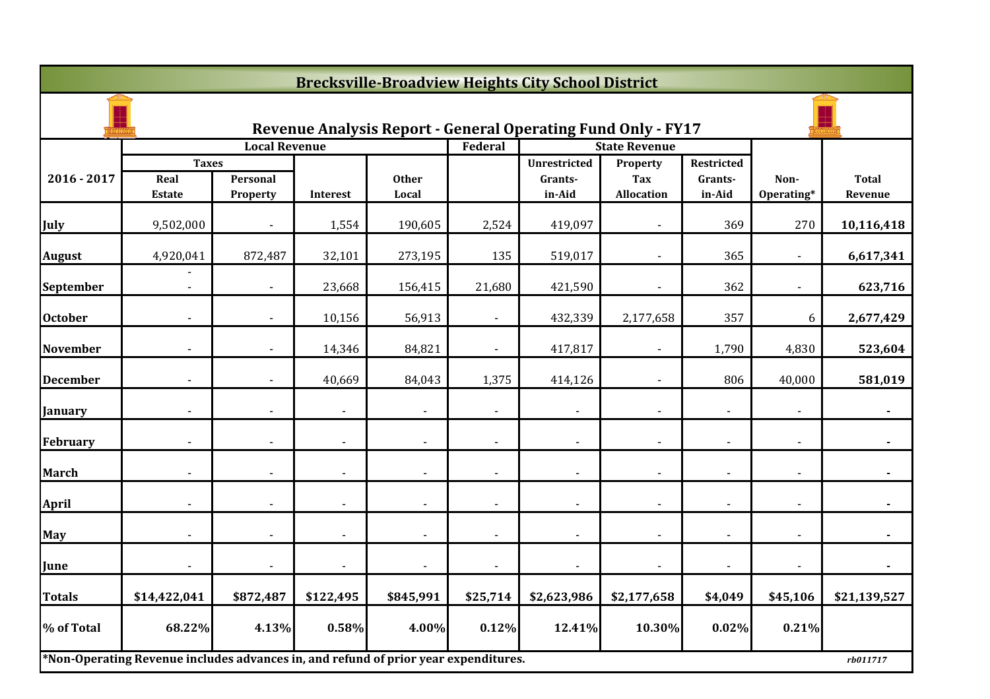|                 |                                                                                     |                          |                |                |                | <b>Brecksville-Broadview Heights City School District</b>           |                        |                              |                |                |
|-----------------|-------------------------------------------------------------------------------------|--------------------------|----------------|----------------|----------------|---------------------------------------------------------------------|------------------------|------------------------------|----------------|----------------|
|                 |                                                                                     |                          |                |                |                | <b>Revenue Analysis Report - General Operating Fund Only - FY17</b> |                        |                              |                |                |
|                 |                                                                                     | <b>Local Revenue</b>     |                |                | Federal        |                                                                     | <b>State Revenue</b>   |                              |                |                |
| 2016 - 2017     | <b>Taxes</b><br>Real                                                                | Personal                 |                | <b>Other</b>   |                | <b>Unrestricted</b><br>Grants-                                      | Property<br><b>Tax</b> | <b>Restricted</b><br>Grants- | Non-           | <b>Total</b>   |
|                 | <b>Estate</b>                                                                       | Property                 | Interest       | Local          |                | in-Aid                                                              | <b>Allocation</b>      | in-Aid                       | Operating*     | Revenue        |
| <b>July</b>     | 9,502,000                                                                           |                          | 1,554          | 190,605        | 2,524          | 419,097                                                             |                        | 369                          | 270            | 10,116,418     |
| <b>August</b>   | 4,920,041                                                                           | 872,487                  | 32,101         | 273,195        | 135            | 519,017                                                             |                        | 365                          |                | 6,617,341      |
| September       | $\blacksquare$                                                                      | $\blacksquare$           | 23,668         | 156,415        | 21,680         | 421,590                                                             | $\blacksquare$         | 362                          | $\blacksquare$ | 623,716        |
| <b>October</b>  |                                                                                     |                          | 10,156         | 56,913         |                | 432,339                                                             | 2,177,658              | 357                          | 6              | 2,677,429      |
| <b>November</b> |                                                                                     | $\overline{\phantom{0}}$ | 14,346         | 84,821         | $\blacksquare$ | 417,817                                                             |                        | 1,790                        | 4,830          | 523,604        |
| <b>December</b> |                                                                                     |                          | 40,669         | 84,043         | 1,375          | 414,126                                                             |                        | 806                          | 40,000         | 581,019        |
| <b>January</b>  |                                                                                     |                          |                |                |                |                                                                     |                        |                              |                |                |
| February        | $\overline{\phantom{a}}$                                                            | $\blacksquare$           | $\blacksquare$ | $\overline{a}$ | $\blacksquare$ | $\overline{\phantom{a}}$                                            | $\blacksquare$         | $\blacksquare$               | $\blacksquare$ | $\blacksquare$ |
| <b>March</b>    | $\overline{\phantom{a}}$                                                            | $\blacksquare$           | $\blacksquare$ |                | $\blacksquare$ | $\blacksquare$                                                      |                        |                              |                |                |
| <b>April</b>    |                                                                                     |                          | $\overline{a}$ |                |                | $\overline{a}$                                                      |                        |                              |                |                |
| May             |                                                                                     |                          | $\blacksquare$ |                | $\blacksquare$ | $\blacksquare$                                                      | $\blacksquare$         |                              |                |                |
| June            |                                                                                     |                          | $\overline{a}$ |                |                | $\overline{a}$                                                      |                        |                              |                |                |
| <b>Totals</b>   | \$14,422,041                                                                        | \$872,487                | \$122,495      | \$845,991      | \$25,714       | \$2,623,986                                                         | \$2,177,658            | \$4,049                      | \$45,106       | \$21,139,527   |
| % of Total      | 68.22%                                                                              | 4.13%                    | 0.58%          | 4.00%          | 0.12%          | 12.41%                                                              | 10.30%                 | 0.02%                        | 0.21%          |                |
|                 | *Non-Operating Revenue includes advances in, and refund of prior year expenditures. |                          |                |                |                |                                                                     |                        |                              |                | rb011717       |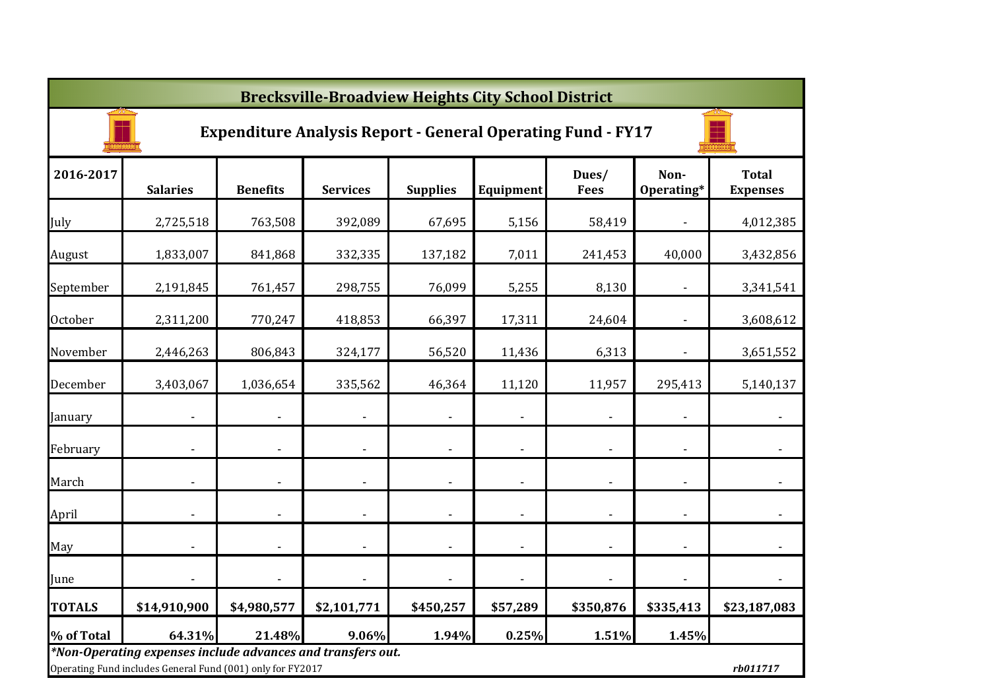|                | <b>Brecksville-Broadview Heights City School District</b>                                                                 |                          |                          |                 |                          |                          |                          |                                 |  |  |  |  |
|----------------|---------------------------------------------------------------------------------------------------------------------------|--------------------------|--------------------------|-----------------|--------------------------|--------------------------|--------------------------|---------------------------------|--|--|--|--|
|                | <b>Expenditure Analysis Report - General Operating Fund - FY17</b>                                                        |                          |                          |                 |                          |                          |                          |                                 |  |  |  |  |
| 2016-2017      | <b>Salaries</b>                                                                                                           | <b>Benefits</b>          | <b>Services</b>          | <b>Supplies</b> | Equipment                | Dues/<br><b>Fees</b>     | Non-<br>Operating*       | <b>Total</b><br><b>Expenses</b> |  |  |  |  |
| July           | 2,725,518                                                                                                                 | 763,508                  | 392,089                  | 67,695          | 5,156                    | 58,419                   | $\overline{\phantom{a}}$ | 4,012,385                       |  |  |  |  |
| August         | 1,833,007                                                                                                                 | 841,868                  | 332,335                  | 137,182         | 7,011                    | 241,453                  | 40,000                   | 3,432,856                       |  |  |  |  |
| September      | 2,191,845                                                                                                                 | 761,457                  | 298,755                  | 76,099          | 5,255                    | 8,130                    |                          | 3,341,541                       |  |  |  |  |
| <b>October</b> | 2,311,200                                                                                                                 | 770,247                  | 418,853                  | 66,397          | 17,311                   | 24,604                   | $\overline{\phantom{a}}$ | 3,608,612                       |  |  |  |  |
| November       | 2,446,263                                                                                                                 | 806,843                  | 324,177                  | 56,520          | 11,436                   | 6,313                    | $\overline{\phantom{a}}$ | 3,651,552                       |  |  |  |  |
| December       | 3,403,067                                                                                                                 | 1,036,654                | 335,562                  | 46,364          | 11,120                   | 11,957                   | 295,413                  | 5,140,137                       |  |  |  |  |
| January        |                                                                                                                           | $\overline{\phantom{a}}$ | $\overline{\phantom{a}}$ |                 |                          | $\blacksquare$           | $\overline{\phantom{a}}$ |                                 |  |  |  |  |
| February       | $\overline{\phantom{a}}$                                                                                                  | $\overline{\phantom{a}}$ | $\blacksquare$           | $\blacksquare$  | $\overline{\phantom{a}}$ | $\blacksquare$           | $\blacksquare$           |                                 |  |  |  |  |
| March          |                                                                                                                           |                          | ä,                       |                 |                          | $\blacksquare$           | ÷,                       |                                 |  |  |  |  |
| April          | ÷,                                                                                                                        | $\overline{\phantom{a}}$ | ä,                       |                 | $\overline{a}$           | $\blacksquare$           | $\blacksquare$           |                                 |  |  |  |  |
| May            | $\overline{\phantom{a}}$                                                                                                  | $\blacksquare$           |                          |                 |                          | $\blacksquare$           | $\blacksquare$           |                                 |  |  |  |  |
| June           |                                                                                                                           |                          |                          |                 |                          | $\overline{\phantom{a}}$ | $\blacksquare$           |                                 |  |  |  |  |
| <b>TOTALS</b>  | \$14,910,900                                                                                                              | \$4,980,577              | \$2,101,771              | \$450,257       | \$57,289                 | \$350,876                | \$335,413                | \$23,187,083                    |  |  |  |  |
| % of Total     | 64.31%                                                                                                                    | 21.48%                   | 9.06%                    | 1.94%           | 0.25%                    | 1.51%                    | 1.45%                    |                                 |  |  |  |  |
|                | *Non-Operating expenses include advances and transfers out.<br>Operating Fund includes General Fund (001) only for FY2017 |                          |                          |                 |                          |                          |                          | rb011717                        |  |  |  |  |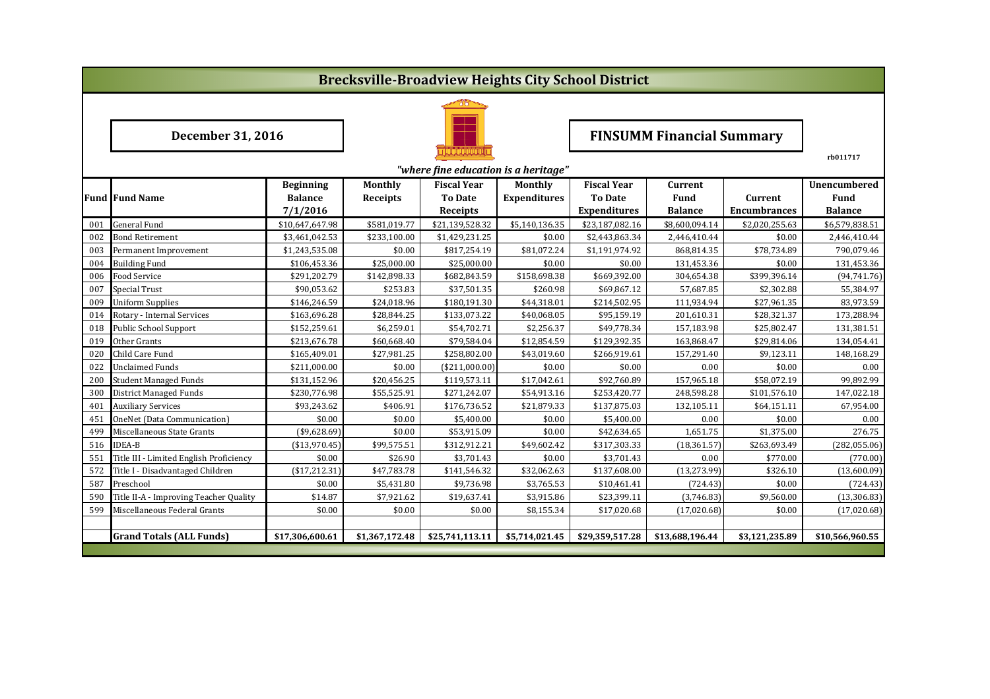|     |                                         |                  |                 | <b>Brecksville-Broadview Heights City School District</b> |                     |                                  |                 |                     |                 |  |
|-----|-----------------------------------------|------------------|-----------------|-----------------------------------------------------------|---------------------|----------------------------------|-----------------|---------------------|-----------------|--|
|     |                                         |                  |                 |                                                           |                     |                                  |                 |                     |                 |  |
|     | <b>December 31, 2016</b>                |                  |                 |                                                           |                     | <b>FINSUMM Financial Summary</b> |                 |                     |                 |  |
|     |                                         |                  |                 | "where fine education is a heritage"                      |                     |                                  |                 |                     | rb011717        |  |
|     |                                         | <b>Beginning</b> | <b>Monthly</b>  | <b>Fiscal Year</b>                                        | Monthly             | <b>Fiscal Year</b>               | <b>Current</b>  |                     | Unencumbered    |  |
|     | <b>Fund Fund Name</b>                   | <b>Balance</b>   | <b>Receipts</b> | <b>To Date</b>                                            | <b>Expenditures</b> | <b>To Date</b>                   | <b>Fund</b>     | Current             | Fund            |  |
|     |                                         | 7/1/2016         |                 | Receipts                                                  |                     | <b>Expenditures</b>              | <b>Balance</b>  | <b>Encumbrances</b> | <b>Balance</b>  |  |
| 001 | <b>General Fund</b>                     | \$10,647,647.98  | \$581,019.77    | \$21,139,528.32                                           | \$5,140,136.35      | \$23,187,082.16                  | \$8,600,094.14  | \$2,020,255.63      | \$6,579,838.51  |  |
| 002 | Bond Retirement                         | \$3,461,042.53   | \$233,100.00    | \$1,429,231.25                                            | \$0.00              | \$2,443,863.34                   | 2,446,410.44    | \$0.00              | 2,446,410.44    |  |
| 003 | Permanent Improvement                   | \$1,243,535.08   | \$0.00          | \$817,254.19                                              | \$81,072.24         | \$1,191,974.92                   | 868,814.35      | \$78,734.89         | 790,079.46      |  |
| 004 | <b>Building Fund</b>                    | \$106,453.36     | \$25,000.00     | \$25,000.00                                               | \$0.00              | \$0.00                           | 131,453.36      | \$0.00              | 131,453.36      |  |
| 006 | Food Service                            | \$291,202.79     | \$142,898.33    | \$682,843.59                                              | \$158,698.38        | \$669,392.00                     | 304,654.38      | \$399,396.14        | (94, 741.76)    |  |
| 007 | <b>Special Trust</b>                    | \$90,053.62      | \$253.83        | \$37,501.35                                               | \$260.98            | \$69,867.12                      | 57,687.85       | \$2,302.88          | 55,384.97       |  |
| 009 | <b>Uniform Supplies</b>                 | \$146,246.59     | \$24,018.96     | \$180,191.30                                              | \$44,318.01         | \$214,502.95                     | 111,934.94      | \$27,961.35         | 83,973.59       |  |
| 014 | Rotary - Internal Services              | \$163,696.28     | \$28,844.25     | \$133,073.22                                              | \$40,068.05         | \$95,159.19                      | 201,610.31      | \$28,321.37         | 173,288.94      |  |
| 018 | Public School Support                   | \$152,259.61     | \$6,259.01      | \$54,702.71                                               | \$2,256.37          | \$49,778.34                      | 157,183.98      | \$25,802.47         | 131,381.51      |  |
| 019 | Other Grants                            | \$213,676.78     | \$60,668.40     | \$79,584.04                                               | \$12,854.59         | \$129,392.35                     | 163,868.47      | \$29,814.06         | 134,054.41      |  |
| 020 | Child Care Fund                         | \$165,409.01     | \$27,981.25     | \$258,802.00                                              | \$43,019.60         | \$266,919.61                     | 157,291.40      | \$9,123.11          | 148,168.29      |  |
| 022 | Unclaimed Funds                         | \$211,000.00     | \$0.00          | ( \$211,000.00]                                           | \$0.00              | \$0.00                           | 0.00            | \$0.00              | 0.00            |  |
| 200 | <b>Student Managed Funds</b>            | \$131,152.96     | \$20,456.25     | \$119,573.11                                              | \$17,042.61         | \$92,760.89                      | 157,965.18      | \$58,072.19         | 99,892.99       |  |
| 300 | District Managed Funds                  | \$230,776.98     | \$55,525.91     | \$271,242.07                                              | \$54,913.16         | \$253,420.77                     | 248,598.28      | \$101,576.10        | 147,022.18      |  |
| 401 | <b>Auxiliary Services</b>               | \$93,243.62      | \$406.91        | \$176,736.52                                              | \$21,879.33         | \$137,875.03                     | 132,105.11      | \$64,151.11         | 67,954.00       |  |
| 451 | OneNet (Data Communication)             | \$0.00           | \$0.00          | \$5,400.00                                                | \$0.00              | \$5,400.00                       | 0.00            | \$0.00              | 0.00            |  |
| 499 | Miscellaneous State Grants              | $(*9,628.69)$    | \$0.00          | \$53,915.09                                               | \$0.00              | \$42,634.65                      | 1,651.75        | \$1,375.00          | 276.75          |  |
| 516 | <b>IDEA-B</b>                           | ( \$13,970.45)   | \$99,575.51     | \$312,912.21                                              | \$49,602.42         | \$317,303.33                     | (18, 361.57)    | \$263,693.49        | (282, 055.06)   |  |
| 551 | Title III - Limited English Proficiency | \$0.00           | \$26.90         | \$3,701.43                                                | \$0.00              | \$3,701.43                       | 0.00            | \$770.00            | (770.00)        |  |
| 572 | Title I - Disadvantaged Children        | (\$17,212.31)    | \$47,783.78     | \$141,546.32                                              | \$32,062.63         | \$137,608.00                     | (13, 273.99)    | \$326.10            | (13,600.09)     |  |
| 587 | Preschool                               | \$0.00           | \$5,431.80      | \$9,736.98                                                | \$3,765.53          | \$10,461.41                      | (724.43)        | \$0.00              | (724.43)        |  |
| 590 | Title II-A - Improving Teacher Quality  | \$14.87          | \$7,921.62      | \$19,637.41                                               | \$3,915.86          | \$23,399.11                      | (3,746.83)      | \$9,560.00          | (13, 306.83)    |  |
| 599 | Miscellaneous Federal Grants            | \$0.00           | \$0.00          | \$0.00                                                    | \$8,155.34          | \$17,020.68                      | (17,020.68)     | \$0.00              | (17,020.68)     |  |
|     |                                         |                  |                 |                                                           |                     |                                  |                 |                     |                 |  |
|     | <b>Grand Totals (ALL Funds)</b>         | \$17,306,600.61  | \$1,367,172.48  | \$25,741,113.11                                           | \$5,714,021.45      | \$29,359,517.28                  | \$13,688,196.44 | \$3,121,235.89      | \$10,566,960.55 |  |
|     |                                         |                  |                 |                                                           |                     |                                  |                 |                     |                 |  |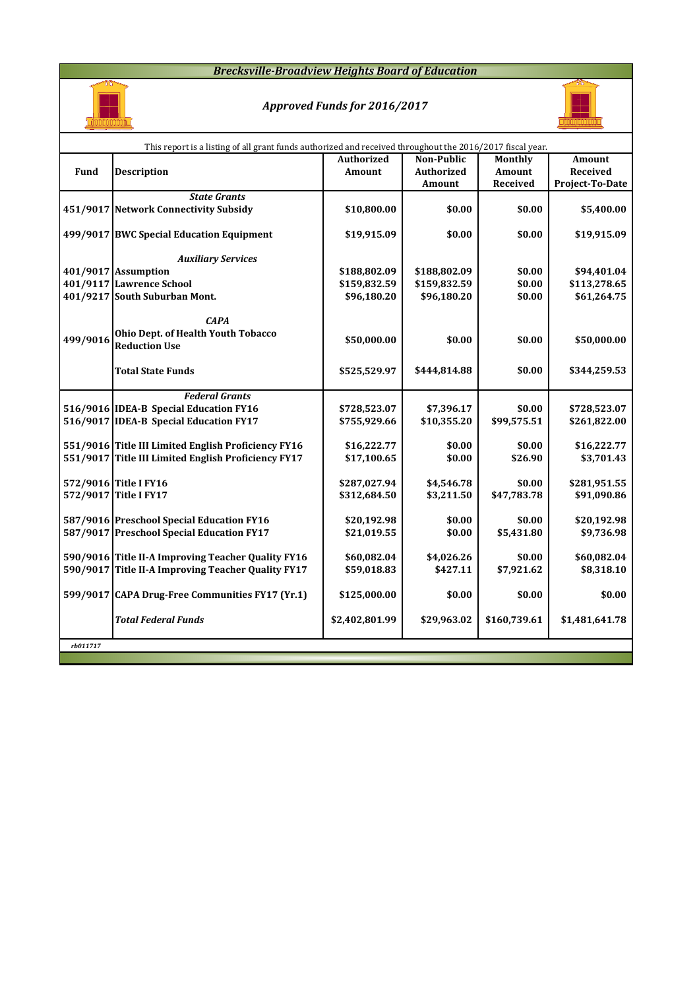## *Brecksville-Broadview Heights Board of Education*



## *Approved Funds for 2016/2017*



|          | This report is a listing of all grant funds authorized and received throughout the 2016/2017 fiscal year. |                   |              |                |                 |
|----------|-----------------------------------------------------------------------------------------------------------|-------------------|--------------|----------------|-----------------|
|          |                                                                                                           | <b>Authorized</b> | Non-Public   | <b>Monthly</b> | Amount          |
| Fund     | <b>Description</b>                                                                                        | Amount            | Authorized   | Amount         | Received        |
|          |                                                                                                           |                   | Amount       | Received       | Project-To-Date |
|          | <b>State Grants</b>                                                                                       |                   |              |                |                 |
|          | 451/9017 Network Connectivity Subsidy                                                                     | \$10,800.00       | \$0.00       | \$0.00         | \$5,400.00      |
|          |                                                                                                           |                   |              |                |                 |
|          | 499/9017 BWC Special Education Equipment                                                                  | \$19,915.09       | \$0.00       | \$0.00         | \$19,915.09     |
|          |                                                                                                           |                   |              |                |                 |
|          | <b>Auxiliary Services</b>                                                                                 |                   |              |                |                 |
|          | 401/9017 Assumption                                                                                       | \$188,802.09      | \$188,802.09 | \$0.00         | \$94,401.04     |
|          | 401/9117 Lawrence School                                                                                  | \$159,832.59      | \$159,832.59 | \$0.00         | \$113,278.65    |
|          | 401/9217 South Suburban Mont.                                                                             | \$96,180.20       | \$96,180.20  | \$0.00         | \$61,264.75     |
|          |                                                                                                           |                   |              |                |                 |
|          | <b>CAPA</b>                                                                                               |                   |              |                |                 |
| 499/9016 | Ohio Dept. of Health Youth Tobacco                                                                        | \$50,000.00       | \$0.00       | \$0.00         | \$50,000.00     |
|          | <b>Reduction Use</b>                                                                                      |                   |              |                |                 |
|          |                                                                                                           |                   |              |                |                 |
|          | <b>Total State Funds</b>                                                                                  | \$525,529.97      | \$444,814.88 | \$0.00         | \$344,259.53    |
|          |                                                                                                           |                   |              |                |                 |
|          | <b>Federal Grants</b>                                                                                     |                   |              |                |                 |
|          | 516/9016 IDEA-B Special Education FY16                                                                    | \$728,523.07      | \$7,396.17   | \$0.00         | \$728,523.07    |
|          | 516/9017 IDEA-B Special Education FY17                                                                    | \$755,929.66      | \$10,355.20  | \$99,575.51    | \$261,822.00    |
|          |                                                                                                           |                   |              |                |                 |
|          | 551/9016 Title III Limited English Proficiency FY16                                                       | \$16,222.77       | \$0.00       | \$0.00         | \$16,222.77     |
|          | 551/9017 Title III Limited English Proficiency FY17                                                       | \$17,100.65       | \$0.00       | \$26.90        | \$3,701.43      |
|          |                                                                                                           |                   |              |                |                 |
|          | 572/9016 Title I FY16                                                                                     | \$287,027.94      | \$4,546.78   | \$0.00         | \$281,951.55    |
|          | 572/9017 Title I FY17                                                                                     | \$312,684.50      | \$3,211.50   | \$47,783.78    | \$91,090.86     |
|          |                                                                                                           |                   |              |                |                 |
|          | 587/9016 Preschool Special Education FY16                                                                 | \$20,192.98       | \$0.00       | \$0.00         | \$20,192.98     |
|          | 587/9017 Preschool Special Education FY17                                                                 | \$21,019.55       | \$0.00       | \$5,431.80     | \$9,736.98      |
|          |                                                                                                           |                   |              |                |                 |
|          | 590/9016 Title II-A Improving Teacher Quality FY16                                                        | \$60,082.04       | \$4,026.26   | \$0.00         | \$60,082.04     |
|          | 590/9017 Title II-A Improving Teacher Quality FY17                                                        | \$59,018.83       | \$427.11     | \$7,921.62     | \$8,318.10      |
|          | 599/9017 CAPA Drug-Free Communities FY17 (Yr.1)                                                           |                   |              |                | \$0.00          |
|          |                                                                                                           | \$125,000.00      | \$0.00       | \$0.00         |                 |
|          | <b>Total Federal Funds</b>                                                                                | \$2,402,801.99    | \$29,963.02  | \$160,739.61   | \$1,481,641.78  |
|          |                                                                                                           |                   |              |                |                 |
| rb011717 |                                                                                                           |                   |              |                |                 |
|          |                                                                                                           |                   |              |                |                 |
|          |                                                                                                           |                   |              |                |                 |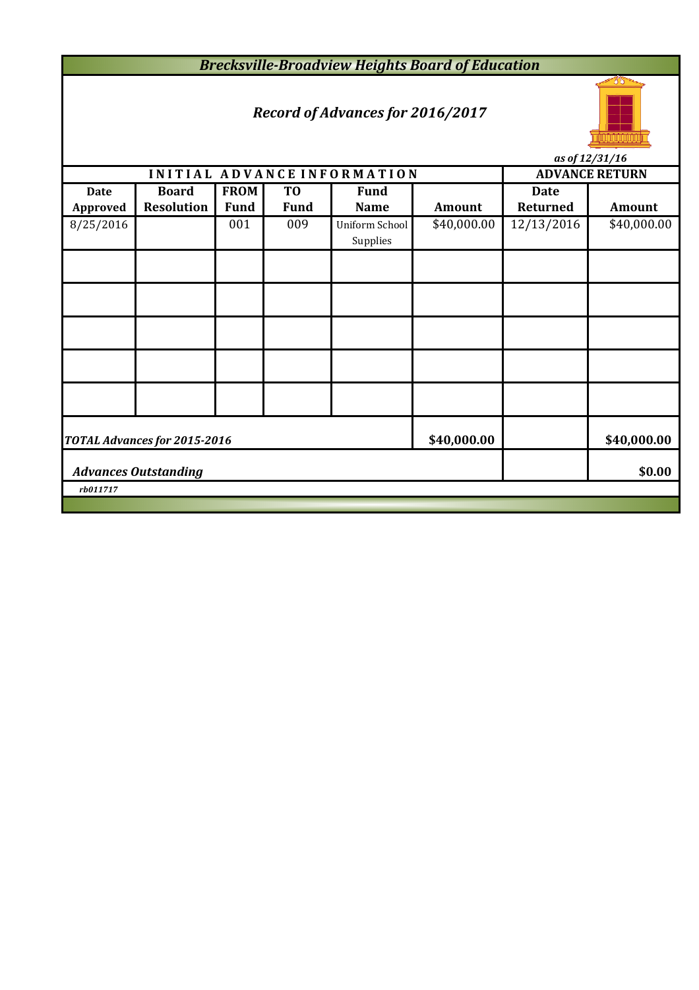*Brecksville-Broadview Heights Board of Education*

# *Record of Advances for 2016/2017*



**INITIAL ADVANCE INFORMATION ADVANCE RETURN Date Board FROM TO Fund Date Approved Resolution Fund Fund Name Amount Returned Amount** 8/25/2016 001 009 Uniform School \$40,000.00 12/13/2016 \$40,000.00 Supplies **\$40,000.00 \$40,000.00 \$0.00** *rb011717 as of 12/31/16 Advances Outstanding TOTAL Advances for 2015-2016*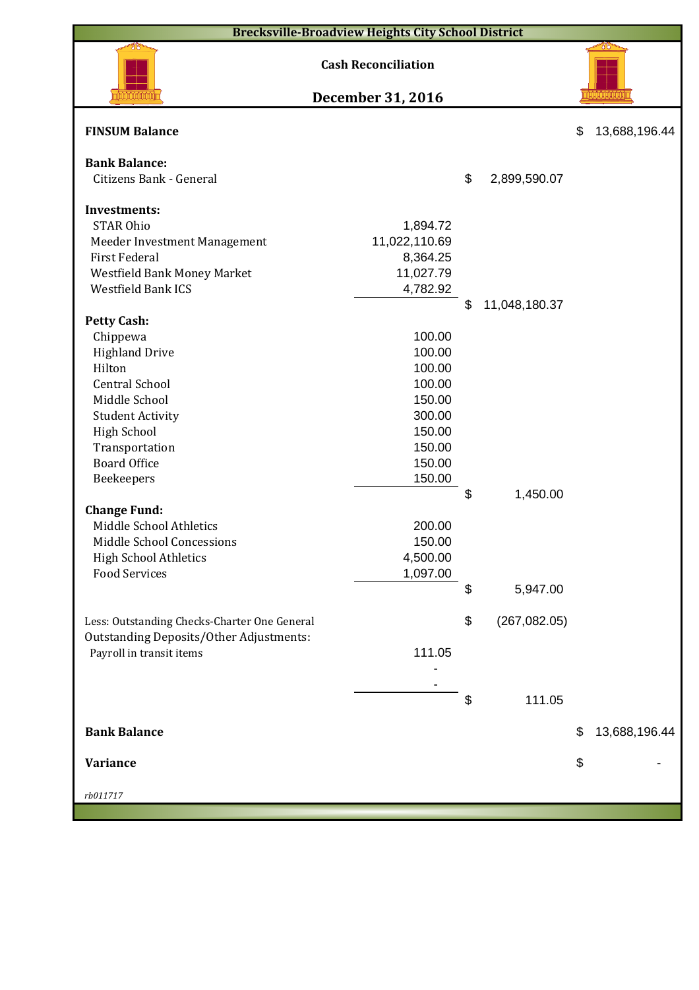|                                                      | <b>Brecksville-Broadview Heights City School District</b> |                     |                     |
|------------------------------------------------------|-----------------------------------------------------------|---------------------|---------------------|
|                                                      | <b>Cash Reconciliation</b>                                |                     |                     |
|                                                      | December 31, 2016                                         |                     |                     |
| <b>FINSUM Balance</b>                                |                                                           |                     | \$<br>13,688,196.44 |
| <b>Bank Balance:</b>                                 |                                                           |                     |                     |
| Citizens Bank - General                              |                                                           | \$<br>2,899,590.07  |                     |
| <b>Investments:</b>                                  |                                                           |                     |                     |
| <b>STAR Ohio</b>                                     | 1,894.72                                                  |                     |                     |
|                                                      | 11,022,110.69                                             |                     |                     |
| Meeder Investment Management<br><b>First Federal</b> |                                                           |                     |                     |
|                                                      | 8,364.25<br>11,027.79                                     |                     |                     |
| Westfield Bank Money Market                          |                                                           |                     |                     |
| Westfield Bank ICS                                   | 4,782.92                                                  | \$                  |                     |
| <b>Petty Cash:</b>                                   |                                                           | 11,048,180.37       |                     |
| Chippewa                                             | 100.00                                                    |                     |                     |
| <b>Highland Drive</b>                                | 100.00                                                    |                     |                     |
| Hilton                                               | 100.00                                                    |                     |                     |
| <b>Central School</b>                                | 100.00                                                    |                     |                     |
| Middle School                                        | 150.00                                                    |                     |                     |
| <b>Student Activity</b>                              | 300.00                                                    |                     |                     |
| <b>High School</b>                                   | 150.00                                                    |                     |                     |
| Transportation                                       | 150.00                                                    |                     |                     |
| <b>Board Office</b>                                  | 150.00                                                    |                     |                     |
| Beekeepers                                           | 150.00                                                    |                     |                     |
|                                                      |                                                           | \$<br>1,450.00      |                     |
| <b>Change Fund:</b>                                  |                                                           |                     |                     |
| Middle School Athletics                              | 200.00                                                    |                     |                     |
| Middle School Concessions                            | 150.00                                                    |                     |                     |
| <b>High School Athletics</b>                         | 4,500.00                                                  |                     |                     |
| <b>Food Services</b>                                 | 1,097.00                                                  |                     |                     |
|                                                      |                                                           | \$<br>5,947.00      |                     |
|                                                      |                                                           |                     |                     |
| Less: Outstanding Checks-Charter One General         |                                                           | \$<br>(267, 082.05) |                     |
| <b>Outstanding Deposits/Other Adjustments:</b>       |                                                           |                     |                     |
| Payroll in transit items                             | 111.05                                                    |                     |                     |
|                                                      |                                                           |                     |                     |
|                                                      |                                                           |                     |                     |
|                                                      |                                                           | \$<br>111.05        |                     |
|                                                      |                                                           |                     |                     |
| <b>Bank Balance</b>                                  |                                                           |                     | \$<br>13,688,196.44 |
|                                                      |                                                           |                     |                     |
| <b>Variance</b>                                      |                                                           |                     | \$                  |
|                                                      |                                                           |                     |                     |
| rb011717                                             |                                                           |                     |                     |
|                                                      |                                                           |                     |                     |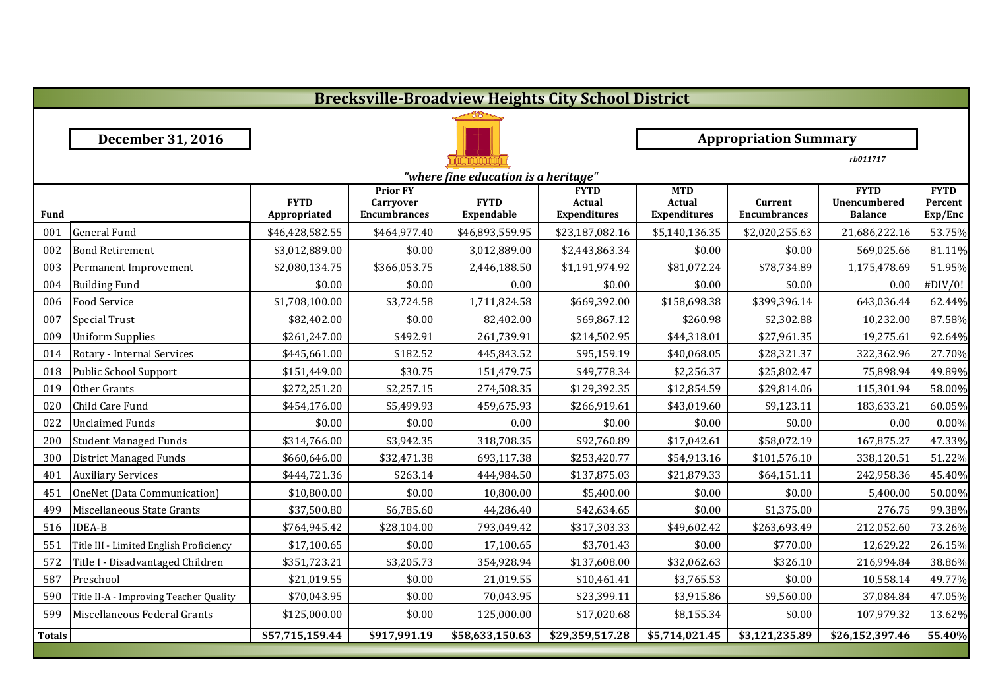| <b>Brecksville-Broadview Heights City School District</b> |                                         |                 |                                     |                   |                             |                              |                     |                             |                        |  |  |  |  |
|-----------------------------------------------------------|-----------------------------------------|-----------------|-------------------------------------|-------------------|-----------------------------|------------------------------|---------------------|-----------------------------|------------------------|--|--|--|--|
|                                                           |                                         |                 |                                     |                   |                             |                              |                     |                             |                        |  |  |  |  |
|                                                           | <b>December 31, 2016</b>                |                 |                                     |                   |                             | <b>Appropriation Summary</b> |                     |                             |                        |  |  |  |  |
|                                                           |                                         |                 |                                     |                   | rb011717                    |                              |                     |                             |                        |  |  |  |  |
|                                                           | "where fine education is a heritage"    |                 |                                     |                   |                             |                              |                     |                             |                        |  |  |  |  |
|                                                           |                                         | <b>FYTD</b>     | <b>Prior FY</b><br><b>Carryover</b> | <b>FYTD</b>       | <b>FYTD</b><br>Actual       | <b>MTD</b><br>Actual         | Current             | <b>FYTD</b><br>Unencumbered | <b>FYTD</b><br>Percent |  |  |  |  |
| <b>Fund</b>                                               |                                         | Appropriated    | <b>Encumbrances</b>                 | <b>Expendable</b> | <b>Expenditures</b>         | <b>Expenditures</b>          | <b>Encumbrances</b> | <b>Balance</b>              | Exp/Enc                |  |  |  |  |
| 001                                                       | <b>General Fund</b>                     | \$46,428,582.55 | \$464,977.40                        | \$46,893,559.95   | \$23,187,082.16             | \$5,140,136.35               | \$2,020,255.63      | 21,686,222.16               | 53.75%                 |  |  |  |  |
| 002                                                       | <b>Bond Retirement</b>                  | \$3,012,889.00  | \$0.00                              | 3,012,889.00      | \$2,443,863.34              | \$0.00                       | \$0.00              | 569,025.66                  | 81.11%                 |  |  |  |  |
| 003                                                       | Permanent Improvement                   | \$2,080,134.75  | \$366,053.75                        | 2,446,188.50      | \$1,191,974.92              | \$81,072.24                  | \$78,734.89         | 1,175,478.69                | 51.95%                 |  |  |  |  |
| 004                                                       | <b>Building Fund</b>                    | \$0.00          | \$0.00                              | 0.00              | \$0.00                      | \$0.00                       | \$0.00              | 0.00                        | #DIV/0!                |  |  |  |  |
| 006                                                       | <b>Food Service</b>                     | \$1,708,100.00  | \$3,724.58                          | 1,711,824.58      | \$669,392.00                | \$158,698.38                 | \$399,396.14        | 643,036.44                  | 62.44%                 |  |  |  |  |
| 007                                                       | <b>Special Trust</b>                    | \$82,402.00     | \$0.00                              | 82,402.00         | \$69,867.12                 | \$260.98                     | \$2,302.88          | 10,232.00                   | 87.58%                 |  |  |  |  |
| 009                                                       | <b>Uniform Supplies</b>                 | \$261,247.00    | \$492.91                            | 261,739.91        | \$214,502.95                | \$44,318.01                  | \$27,961.35         | 19,275.61                   | 92.64%                 |  |  |  |  |
| 014                                                       | Rotary - Internal Services              | \$445,661.00    | \$182.52                            | 445,843.52        | \$95,159.19                 | \$40,068.05                  | \$28,321.37         | 322,362.96                  | 27.70%                 |  |  |  |  |
| 018                                                       | Public School Support                   | \$151,449.00    | \$30.75                             | 151,479.75        | \$49,778.34                 | \$2,256.37                   | \$25,802.47         | 75,898.94                   | 49.89%                 |  |  |  |  |
| 019                                                       | Other Grants                            | \$272,251.20    | \$2,257.15                          | 274,508.35        | \$129,392.35                | \$12,854.59                  | \$29,814.06         | 115,301.94                  | 58.00%                 |  |  |  |  |
| 020                                                       | Child Care Fund                         | \$454,176.00    | \$5,499.93                          | 459,675.93        | \$266,919.61                | \$43,019.60                  | \$9,123.11          | 183,633.21                  | 60.05%                 |  |  |  |  |
| 022                                                       | <b>Unclaimed Funds</b>                  | \$0.00          | \$0.00                              | 0.00              | \$0.00                      | \$0.00                       | \$0.00              | 0.00                        | 0.00%                  |  |  |  |  |
| 200                                                       | <b>Student Managed Funds</b>            | \$314,766.00    | \$3,942.35                          | 318,708.35        | \$92,760.89                 | \$17,042.61                  | \$58,072.19         | 167,875.27                  | 47.33%                 |  |  |  |  |
| 300                                                       | <b>District Managed Funds</b>           | \$660,646.00    | \$32,471.38                         | 693,117.38        | \$253,420.77                | \$54,913.16                  | \$101,576.10        | 338,120.51                  | 51.22%                 |  |  |  |  |
| 401                                                       | <b>Auxiliary Services</b>               | \$444,721.36    | \$263.14                            | 444,984.50        | \$137,875.03                | \$21,879.33                  | \$64,151.11         | 242,958.36                  | 45.40%                 |  |  |  |  |
| 451                                                       | OneNet (Data Communication)             | \$10,800.00     | \$0.00                              | 10,800.00         | \$5,400.00                  | \$0.00                       | \$0.00              | 5,400.00                    | 50.00%                 |  |  |  |  |
| 499                                                       | Miscellaneous State Grants              | \$37,500.80     | \$6,785.60                          | 44,286.40         | \$42,634.65                 | \$0.00                       | \$1,375.00          | 276.75                      | 99.38%                 |  |  |  |  |
| 516                                                       | <b>IDEA-B</b>                           | \$764,945.42    | \$28,104.00                         | 793,049.42        | \$317,303.33                | \$49,602.42                  | \$263,693.49        | 212,052.60                  | 73.26%                 |  |  |  |  |
| 551                                                       | Title III - Limited English Proficiency | \$17,100.65     | \$0.00                              | 17,100.65         | \$3,701.43                  | \$0.00                       | \$770.00            | 12,629.22                   | 26.15%                 |  |  |  |  |
| 572                                                       | Title I - Disadvantaged Children        | \$351,723.21    | \$3,205.73                          | 354,928.94        | \$137,608.00                | \$32,062.63                  | \$326.10            | 216,994.84                  | 38.86%                 |  |  |  |  |
| 587                                                       | Preschool                               | \$21,019.55     | \$0.00                              | 21,019.55         | \$10,461.41                 | \$3,765.53                   | \$0.00              | 10,558.14                   | 49.77%                 |  |  |  |  |
| 590                                                       | Title II-A - Improving Teacher Quality  | \$70,043.95     | \$0.00                              | 70,043.95         | \$23,399.11                 | \$3,915.86                   | \$9,560.00          | 37,084.84                   | 47.05%                 |  |  |  |  |
| 599                                                       | Miscellaneous Federal Grants            | \$125,000.00    | \$0.00                              | 125,000.00        | \$17,020.68                 | \$8,155.34                   | \$0.00              | 107,979.32                  | 13.62%                 |  |  |  |  |
| <b>Totals</b>                                             |                                         | \$57,715,159.44 | \$917,991.19                        | \$58,633,150.63   | $\overline{$29,359,517.28}$ | \$5,714,021.45               | \$3,121,235.89      | \$26,152,397.46             | 55.40%                 |  |  |  |  |